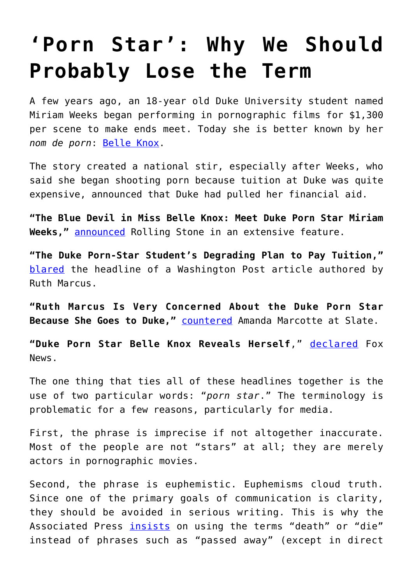## **['Porn Star': Why We Should](https://intellectualtakeout.org/2017/10/porn-star-why-we-should-probably-lose-the-term/) [Probably Lose the Term](https://intellectualtakeout.org/2017/10/porn-star-why-we-should-probably-lose-the-term/)**

A few years ago, an 18-year old Duke University student named Miriam Weeks began performing in pornographic films for \$1,300 per scene to make ends meet. Today she is better known by her *nom de porn*: [Belle Knox](https://en.wikipedia.org/wiki/Belle_Knox).

The story created a national stir, especially after Weeks, who said she began shooting porn because tuition at Duke was quite expensive, announced that Duke had pulled her financial aid.

**"The Blue Devil in Miss Belle Knox: Meet Duke Porn Star Miriam Weeks,"** [announced](http://www.rollingstone.com/culture/news/the-blue-devil-in-miss-belle-knox-meet-duke-porn-star-miriam-weeks-20140423) Rolling Stone in an extensive feature.

**"The Duke Porn-Star Student's Degrading Plan to Pay Tuition,"** [blared](https://www.washingtonpost.com/opinions/ruth-marcus-the-duke-porn-star-students-degrading-plan-to-pay-tuition/2014/03/11/b70c96a4-a940-11e3-b61e-8051b8b52d06_story.html?utm_term=.23a559c7b732) the headline of a Washington Post article authored by Ruth Marcus.

**"Ruth Marcus Is Very Concerned About the Duke Porn Star Because She Goes to Duke,"** [countered](http://www.slate.com/blogs/xx_factor/2014/03/12/ruth_marcus_on_the_duke_porn_star_a_sign_of_our_degraded_culture_blah_blah.html) Amanda Marcotte at Slate.

**"Duke Porn Star Belle Knox Reveals Herself**," [declared](http://www.foxnews.com/entertainment/2014/03/05/duke-porn-star-belle-knox-reveals-herself.html) Fox News.

The one thing that ties all of these headlines together is the use of two particular words: "*porn star*." The terminology is problematic for a few reasons, particularly for media.

First, the phrase is imprecise if not altogether inaccurate. Most of the people are not "stars" at all; they are merely actors in pornographic movies.

Second, the phrase is euphemistic. Euphemisms cloud truth. Since one of the primary goals of communication is clarity, they should be avoided in serious writing. This is why the Associated Press [insists](https://twitter.com/apstylebook/status/410072400899096576?lang=en) on using the terms "death" or "die" instead of phrases such as "passed away" (except in direct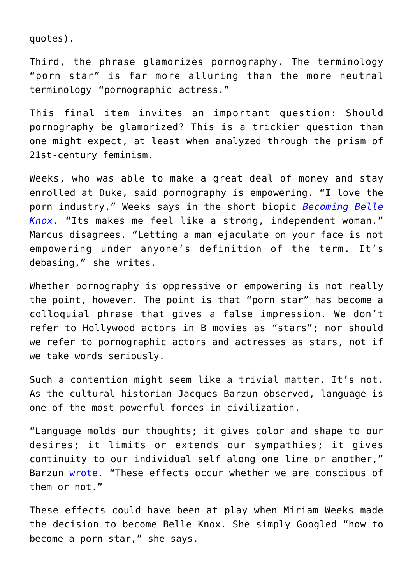quotes).

Third, the phrase glamorizes pornography. The terminology "porn star" is far more alluring than the more neutral terminology "pornographic actress."

This final item invites an important question: Should pornography be glamorized? This is a trickier question than one might expect, at least when analyzed through the prism of 21st-century feminism.

Weeks, who was able to make a great deal of money and stay enrolled at Duke, said pornography is empowering. "I love the porn industry," Weeks says in the short biopic *[Becoming Belle](https://www.youtube.com/playlist?list=PLiNGxb5ChRJ9Cmxk2A8B4j_165E9Qa1ku) [Knox](https://www.youtube.com/playlist?list=PLiNGxb5ChRJ9Cmxk2A8B4j_165E9Qa1ku)*. "Its makes me feel like a strong, independent woman." Marcus disagrees. "Letting a man ejaculate on your face is not empowering under anyone's definition of the term. It's debasing," she writes.

Whether pornography is oppressive or empowering is not really the point, however. The point is that "porn star" has become a colloquial phrase that gives a false impression. We don't refer to Hollywood actors in B movies as "stars"; nor should we refer to pornographic actors and actresses as stars, not if we take words seriously.

Such a contention might seem like a trivial matter. It's not. As the cultural historian Jacques Barzun observed, language is one of the most powerful forces in civilization.

"Language molds our thoughts; it gives color and shape to our desires; it limits or extends our sympathies; it gives continuity to our individual self along one line or another," Barzun [wrote](https://books.google.com/books?id=pqQyDwAAQBAJ&pg=PT159&lpg=PT159&dq=%E2%80%9CLanguage+molds+our+thoughts;+it+gives+color+and+shape+to+our+desires;+it+limits+or+extends+our&source=bl&ots=_GbCBb55Pb&sig=hW8m2pXBRxxca9zbn-wmkMZNTtc&hl=en&sa=X&ved=0ahUKEwim8PyXy47XAhUG7IMKHdMkCxkQ6AEIKDAA#v=onepage&q=%E2%80%9CLanguage%20molds%20our%20thoughts%3B%20it%20gives%20color%20and%20shape%20to%20our%20desires%3B%20it%20limits%20or%20extends%20our&f=false). "These effects occur whether we are conscious of them or not."

These effects could have been at play when Miriam Weeks made the decision to become Belle Knox. She simply Googled "how to become a porn star," she says.